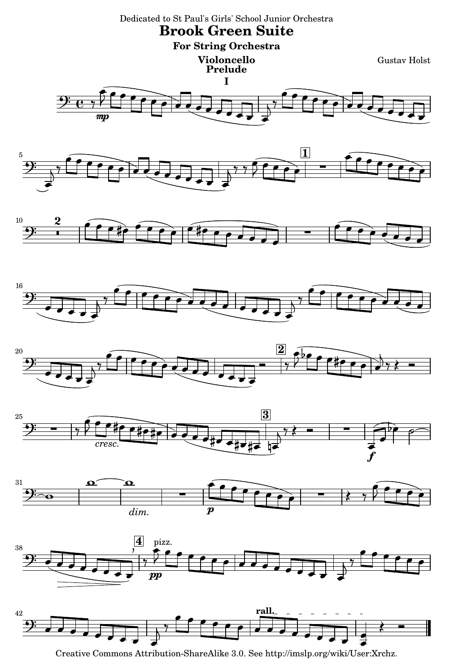

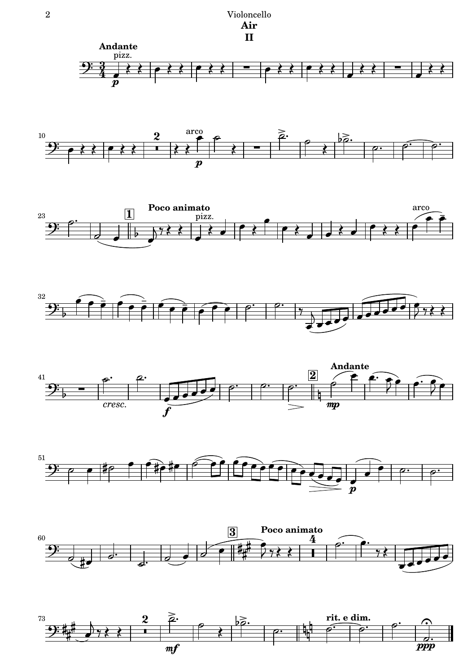2 Violoncello **Air II**















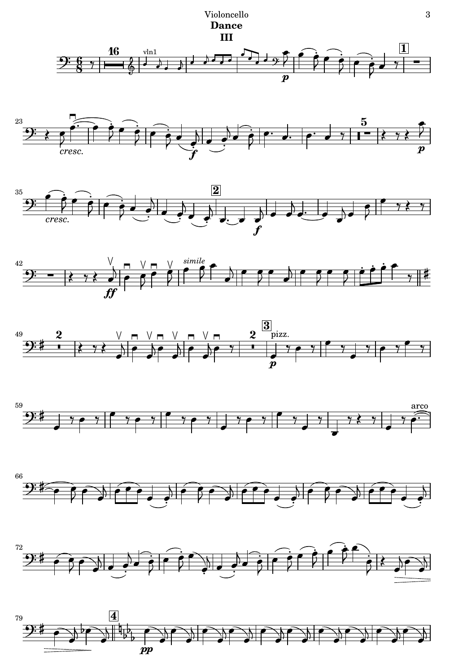